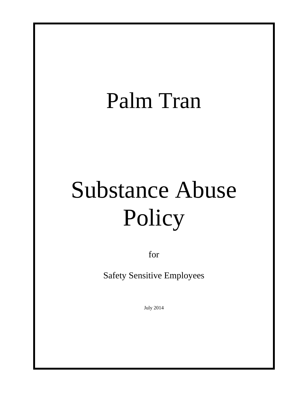## Palm Tran

# Substance Abuse Policy

for

Safety Sensitive Employees

July 2014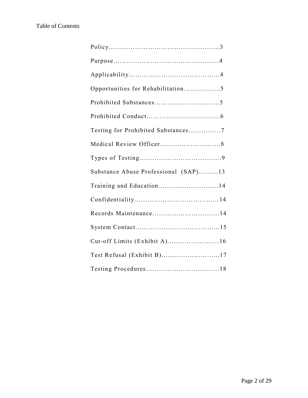#### Table of Contents

| Opportunities for Rehabilitation5    |
|--------------------------------------|
|                                      |
|                                      |
| Testing for Prohibited Substances7   |
|                                      |
|                                      |
| Substance Abuse Professional (SAP)13 |
| Training and Education14             |
|                                      |
|                                      |
|                                      |
| Cut-off Limits (Exhibit A)16         |
| Test Refusal (Exhibit B)17           |
|                                      |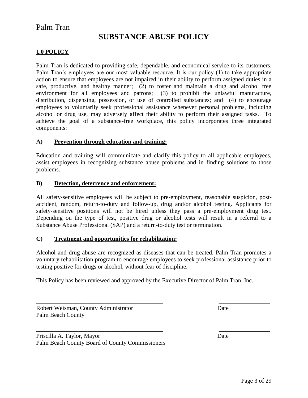#### Palm Tran

#### **SUBSTANCE ABUSE POLICY**

#### **1.0 POLICY**

Palm Tran is dedicated to providing safe, dependable, and economical service to its customers. Palm Tran's employees are our most valuable resource. It is our policy (1) to take appropriate action to ensure that employees are not impaired in their ability to perform assigned duties in a safe, productive, and healthy manner; (2) to foster and maintain a drug and alcohol free environment for all employees and patrons; (3) to prohibit the unlawful manufacture, distribution, dispensing, possession, or use of controlled substances; and (4) to encourage employees to voluntarily seek professional assistance whenever personal problems, including alcohol or drug use, may adversely affect their ability to perform their assigned tasks. To achieve the goal of a substance-free workplace, this policy incorporates three integrated components:

#### **A) Prevention through education and training:**

Education and training will communicate and clarify this policy to all applicable employees, assist employees in recognizing substance abuse problems and in finding solutions to those problems.

#### **B) Detection, deterrence and enforcement:**

All safety-sensitive employees will be subject to pre-employment, reasonable suspicion, postaccident, random, return-to-duty and follow-up, drug and/or alcohol testing. Applicants for safety-sensitive positions will not be hired unless they pass a pre-employment drug test. Depending on the type of test, positive drug or alcohol tests will result in a referral to a Substance Abuse Professional (SAP) and a return-to-duty test or termination.

#### **C) Treatment and opportunities for rehabilitation:**

Alcohol and drug abuse are recognized as diseases that can be treated. Palm Tran promotes a voluntary rehabilitation program to encourage employees to seek professional assistance prior to testing positive for drugs or alcohol, without fear of discipline.

\_\_\_\_\_\_\_\_\_\_\_\_\_\_\_\_\_\_\_\_\_\_\_\_\_\_\_\_\_\_\_\_\_\_\_\_\_\_\_\_\_\_ \_\_\_\_\_\_\_\_\_\_\_\_\_\_\_\_\_

\_\_\_\_\_\_\_\_\_\_\_\_\_\_\_\_\_\_\_\_\_\_\_\_\_\_\_\_\_\_\_\_\_\_\_\_\_\_\_\_\_\_ \_\_\_\_\_\_\_\_\_\_\_\_\_\_\_\_\_

This Policy has been reviewed and approved by the Executive Director of Palm Tran, Inc.

Robert Weisman, County Administrator Date Palm Beach County

Priscilla A. Taylor, Mayor Date Palm Beach County Board of County Commissioners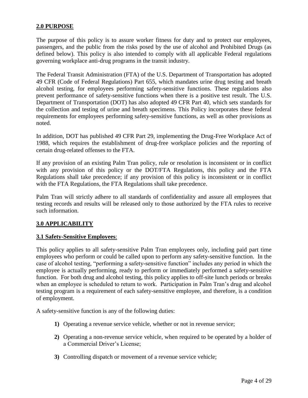#### **2.0 PURPOSE**

The purpose of this policy is to assure worker fitness for duty and to protect our employees, passengers, and the public from the risks posed by the use of alcohol and Prohibited Drugs (as defined below). This policy is also intended to comply with all applicable Federal regulations governing workplace anti-drug programs in the transit industry.

The Federal Transit Administration (FTA) of the U.S. Department of Transportation has adopted 49 CFR (Code of Federal Regulations) Part 655, which mandates urine drug testing and breath alcohol testing, for employees performing safety-sensitive functions. These regulations also prevent performance of safety-sensitive functions when there is a positive test result. The U.S. Department of Transportation (DOT) has also adopted 49 CFR Part 40, which sets standards for the collection and testing of urine and breath specimens. This Policy incorporates these federal requirements for employees performing safety-sensitive functions, as well as other provisions as noted.

In addition, DOT has published 49 CFR Part 29, implementing the Drug-Free Workplace Act of 1988, which requires the establishment of drug-free workplace policies and the reporting of certain drug-related offenses to the FTA.

If any provision of an existing Palm Tran policy, rule or resolution is inconsistent or in conflict with any provision of this policy or the DOT/FTA Regulations, this policy and the FTA Regulations shall take precedence; if any provision of this policy is inconsistent or in conflict with the FTA Regulations, the FTA Regulations shall take precedence.

Palm Tran will strictly adhere to all standards of confidentiality and assure all employees that testing records and results will be released only to those authorized by the FTA rules to receive such information.

#### **3.0 APPLICABILITY**

#### **3.1 Safety-Sensitive Employees**:

This policy applies to all safety-sensitive Palm Tran employees only, including paid part time employees who perform or could be called upon to perform any safety-sensitive function. In the case of alcohol testing, "performing a safety-sensitive function" includes any period in which the employee is actually performing, ready to perform or immediately performed a safety-sensitive function. For both drug and alcohol testing, this policy applies to off-site lunch periods or breaks when an employee is scheduled to return to work. Participation in Palm Tran's drug and alcohol testing program is a requirement of each safety-sensitive employee, and therefore, is a condition of employment.

A safety-sensitive function is any of the following duties:

- **1)** Operating a revenue service vehicle, whether or not in revenue service;
- **2)** Operating a non-revenue service vehicle, when required to be operated by a holder of a Commercial Driver's License;
- **3)** Controlling dispatch or movement of a revenue service vehicle;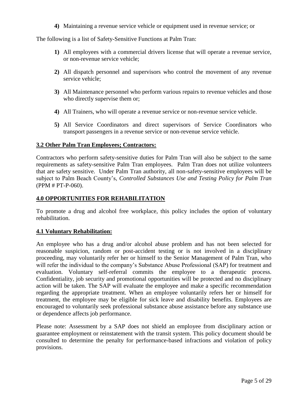**4)** Maintaining a revenue service vehicle or equipment used in revenue service; or

The following is a list of Safety-Sensitive Functions at Palm Tran:

- **1)** All employees with a commercial drivers license that will operate a revenue service, or non-revenue service vehicle;
- **2)** All dispatch personnel and supervisors who control the movement of any revenue service vehicle;
- **3)** All Maintenance personnel who perform various repairs to revenue vehicles and those who directly supervise them or;
- **4)** All Trainers, who will operate a revenue service or non-revenue service vehicle.
- **5)** All Service Coordinators and direct supervisors of Service Coordinators who transport passengers in a revenue service or non-revenue service vehicle.

#### **3.2 Other Palm Tran Employees; Contractors:**

Contractors who perform safety-sensitive duties for Palm Tran will also be subject to the same requirements as safety-sensitive Palm Tran employees. Palm Tran does not utilize volunteers that are safety sensitive. Under Palm Tran authority, all non-safety-sensitive employees will be subject to Palm Beach County's, *Controlled Substances Use and Testing Policy for Palm Tran*  (PPM # PT-P-060).

#### **4.0 OPPORTUNITIES FOR REHABILITATION**

To promote a drug and alcohol free workplace, this policy includes the option of voluntary rehabilitation.

#### **4.1 Voluntary Rehabilitation:**

An employee who has a drug and/or alcohol abuse problem and has not been selected for reasonable suspicion, random or post-accident testing or is not involved in a disciplinary proceeding, may voluntarily refer her or himself to the Senior Management of Palm Tran, who will refer the individual to the company's Substance Abuse Professional (SAP) for treatment and evaluation. Voluntary self-referral commits the employee to a therapeutic process. Confidentiality, job security and promotional opportunities will be protected and no disciplinary action will be taken. The SAP will evaluate the employee and make a specific recommendation regarding the appropriate treatment. When an employee voluntarily refers her or himself for treatment, the employee may be eligible for sick leave and disability benefits. Employees are encouraged to voluntarily seek professional substance abuse assistance before any substance use or dependence affects job performance.

Please note: Assessment by a SAP does not shield an employee from disciplinary action or guarantee employment or reinstatement with the transit system. This policy document should be consulted to determine the penalty for performance-based infractions and violation of policy provisions.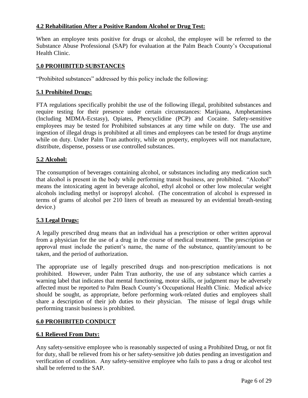#### **4.2 Rehabilitation After a Positive Random Alcohol or Drug Test:**

When an employee tests positive for drugs or alcohol, the employee will be referred to the Substance Abuse Professional (SAP) for evaluation at the Palm Beach County's Occupational Health Clinic.

#### **5.0 PROHIBITED SUBSTANCES**

"Prohibited substances" addressed by this policy include the following:

#### **5.1 Prohibited Drugs:**

FTA regulations specifically prohibit the use of the following illegal, prohibited substances and require testing for their presence under certain circumstances: Marijuana, Amphetamines (Including MDMA-Ecstasy), Opiates, Phencyclidine (PCP) and Cocaine. Safety-sensitive employees may be tested for Prohibited substances at any time while on duty. The use and ingestion of illegal drugs is prohibited at all times and employees can be tested for drugs anytime while on duty. Under Palm Tran authority, while on property, employees will not manufacture, distribute, dispense, possess or use controlled substances.

#### **5.2 Alcohol:**

The consumption of beverages containing alcohol, or substances including any medication such that alcohol is present in the body while performing transit business, are prohibited. "Alcohol" means the intoxicating agent in beverage alcohol, ethyl alcohol or other low molecular weight alcohols including methyl or isopropyl alcohol. (The concentration of alcohol is expressed in terms of grams of alcohol per 210 liters of breath as measured by an evidential breath-testing device.)

#### **5.3 Legal Drugs:**

A legally prescribed drug means that an individual has a prescription or other written approval from a physician for the use of a drug in the course of medical treatment. The prescription or approval must include the patient's name, the name of the substance, quantity/amount to be taken, and the period of authorization.

The appropriate use of legally prescribed drugs and non-prescription medications is not prohibited. However, under Palm Tran authority, the use of any substance which carries a warning label that indicates that mental functioning, motor skills, or judgment may be adversely affected must be reported to Palm Beach County's Occupational Health Clinic. Medical advice should be sought, as appropriate, before performing work-related duties and employees shall share a description of their job duties to their physician. The misuse of legal drugs while performing transit business is prohibited.

#### **6.0 PROHIBITED CONDUCT**

#### **6.1 Relieved From Duty:**

Any safety-sensitive employee who is reasonably suspected of using a Prohibited Drug, or not fit for duty, shall be relieved from his or her safety-sensitive job duties pending an investigation and verification of condition. Any safety-sensitive employee who fails to pass a drug or alcohol test shall be referred to the SAP.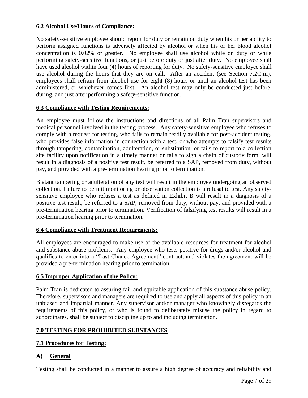#### **6.2 Alcohol Use/Hours of Compliance:**

No safety-sensitive employee should report for duty or remain on duty when his or her ability to perform assigned functions is adversely affected by alcohol or when his or her blood alcohol concentration is 0.02% or greater. No employee shall use alcohol while on duty or while performing safety-sensitive functions, or just before duty or just after duty. No employee shall have used alcohol within four (4) hours of reporting for duty. No safety-sensitive employee shall use alcohol during the hours that they are on call. After an accident (see Section 7.2C.iii), employees shall refrain from alcohol use for eight (8) hours or until an alcohol test has been administered, or whichever comes first. An alcohol test may only be conducted just before, during, and just after performing a safety-sensitive function.

#### **6.3 Compliance with Testing Requirements:**

An employee must follow the instructions and directions of all Palm Tran supervisors and medical personnel involved in the testing process. Any safety-sensitive employee who refuses to comply with a request for testing, who fails to remain readily available for post-accident testing, who provides false information in connection with a test, or who attempts to falsify test results through tampering, contamination, adulteration, or substitution, or fails to report to a collection site facility upon notification in a timely manner or fails to sign a chain of custody form, will result in a diagnosis of a positive test result, be referred to a SAP, removed from duty, without pay, and provided with a pre-termination hearing prior to termination.

Blatant tampering or adulteration of any test will result in the employee undergoing an observed collection. Failure to permit monitoring or observation collection is a refusal to test. Any safetysensitive employee who refuses a test as defined in Exhibit B will result in a diagnosis of a positive test result, be referred to a SAP, removed from duty, without pay, and provided with a pre-termination hearing prior to termination. Verification of falsifying test results will result in a pre-termination hearing prior to termination.

#### **6.4 Compliance with Treatment Requirements:**

All employees are encouraged to make use of the available resources for treatment for alcohol and substance abuse problems. Any employee who tests positive for drugs and/or alcohol and qualifies to enter into a "Last Chance Agreement" contract, and violates the agreement will be provided a pre-termination hearing prior to termination.

#### **6.5 Improper Application of the Policy:**

Palm Tran is dedicated to assuring fair and equitable application of this substance abuse policy. Therefore, supervisors and managers are required to use and apply all aspects of this policy in an unbiased and impartial manner. Any supervisor and/or manager who knowingly disregards the requirements of this policy, or who is found to deliberately misuse the policy in regard to subordinates, shall be subject to discipline up to and including termination.

#### **7.0 TESTING FOR PROHIBITED SUBSTANCES**

#### **7.1 Procedures for Testing:**

#### **A) General**

Testing shall be conducted in a manner to assure a high degree of accuracy and reliability and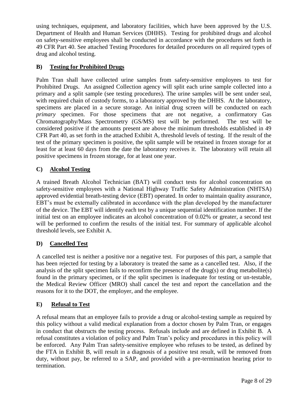using techniques, equipment, and laboratory facilities, which have been approved by the U.S. Department of Health and Human Services (DHHS). Testing for prohibited drugs and alcohol on safety-sensitive employees shall be conducted in accordance with the procedures set forth in 49 CFR Part 40. See attached Testing Procedures for detailed procedures on all required types of drug and alcohol testing.

#### **B) Testing for Prohibited Drugs**

Palm Tran shall have collected urine samples from safety-sensitive employees to test for Prohibited Drugs. An assigned Collection agency will split each urine sample collected into a primary and a split sample (see testing procedures). The urine samples will be sent under seal, with required chain of custody forms, to a laboratory approved by the DHHS. At the laboratory, specimens are placed in a secure storage. An initial drug screen will be conducted on each *primary* specimen. For those specimens that are not negative, a confirmatory Gas Chromatography/Mass Spectrometry (GS/MS) test will be performed. The test will be considered positive if the amounts present are above the minimum thresholds established in 49 CFR Part 40, as set forth in the attached Exhibit A, threshold levels of testing. If the result of the test of the primary specimen is positive, the split sample will be retained in frozen storage for at least for at least 60 days from the date the laboratory receives it. The laboratory will retain all positive specimens in frozen storage, for at least one year.

#### **C) Alcohol Testing**

A trained Breath Alcohol Technician (BAT) will conduct tests for alcohol concentration on safety-sensitive employees with a National Highway Traffic Safety Administration (NHTSA) approved evidential breath-testing device (EBT) operated. In order to maintain quality assurance, EBT's must be externally calibrated in accordance with the plan developed by the manufacturer of the device. The EBT will identify each test by a unique sequential identification number. If the initial test on an employee indicates an alcohol concentration of 0.02% or greater, a second test will be performed to confirm the results of the initial test. For summary of applicable alcohol threshold levels, see Exhibit A.

#### **D) Cancelled Test**

A cancelled test is neither a positive nor a negative test. For purposes of this part, a sample that has been rejected for testing by a laboratory is treated the same as a cancelled test. Also, if the analysis of the split specimen fails to reconfirm the presence of the drug(s) or drug metabolite(s) found in the primary specimen, or if the split specimen is inadequate for testing or un-testable, the Medical Review Officer (MRO) shall cancel the test and report the cancellation and the reasons for it to the DOT, the employer, and the employee.

#### **E) Refusal to Test**

A refusal means that an employee fails to provide a drug or alcohol-testing sample as required by this policy without a valid medical explanation from a doctor chosen by Palm Tran, or engages in conduct that obstructs the testing process. Refusals include and are defined in Exhibit B. A refusal constitutes a violation of policy and Palm Tran's policy and procedures in this policy will be enforced. Any Palm Tran safety-sensitive employee who refuses to be tested, as defined by the FTA in Exhibit B, will result in a diagnosis of a positive test result, will be removed from duty, without pay, be referred to a SAP, and provided with a pre-termination hearing prior to termination.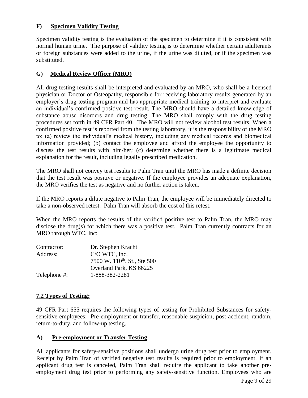#### **F) Specimen Validity Testing**

Specimen validity testing is the evaluation of the specimen to determine if it is consistent with normal human urine. The purpose of validity testing is to determine whether certain adulterants or foreign substances were added to the urine, if the urine was diluted, or if the specimen was substituted.

#### **G) Medical Review Officer (MRO)**

All drug testing results shall be interpreted and evaluated by an MRO, who shall be a licensed physician or Doctor of Osteopathy, responsible for receiving laboratory results generated by an employer's drug testing program and has appropriate medical training to interpret and evaluate an individual's confirmed positive test result. The MRO should have a detailed knowledge of substance abuse disorders and drug testing. The MRO shall comply with the drug testing procedures set forth in 49 CFR Part 40. The MRO will not review alcohol test results. When a confirmed positive test is reported from the testing laboratory, it is the responsibility of the MRO to: (a) review the individual's medical history, including any medical records and biomedical information provided; (b) contact the employee and afford the employee the opportunity to discuss the test results with him/her; (c) determine whether there is a legitimate medical explanation for the result, including legally prescribed medication.

The MRO shall not convey test results to Palm Tran until the MRO has made a definite decision that the test result was positive or negative. If the employee provides an adequate explanation, the MRO verifies the test as negative and no further action is taken.

If the MRO reports a dilute negative to Palm Tran, the employee will be immediately directed to take a non-observed retest. Palm Tran will absorb the cost of this retest.

When the MRO reports the results of the verified positive test to Palm Tran, the MRO may disclose the drug(s) for which there was a positive test. Palm Tran currently contracts for an MRO through WTC, Inc:

| Contractor:  | Dr. Stephen Kracht                       |
|--------------|------------------------------------------|
| Address:     | C/O WTC, Inc.                            |
|              | 7500 W. 110 <sup>th</sup> . St., Ste 500 |
|              | Overland Park, KS 66225                  |
| Telephone #: | 1-888-382-2281                           |

#### **7.2 Types of Testing:**

49 CFR Part 655 requires the following types of testing for Prohibited Substances for safetysensitive employees: Pre-employment or transfer, reasonable suspicion, post-accident, random, return-to-duty, and follow-up testing.

#### **A) Pre-employment or Transfer Testing**

All applicants for safety-sensitive positions shall undergo urine drug test prior to employment. Receipt by Palm Tran of verified negative test results is required prior to employment. If an applicant drug test is canceled, Palm Tran shall require the applicant to take another preemployment drug test prior to performing any safety-sensitive function. Employees who are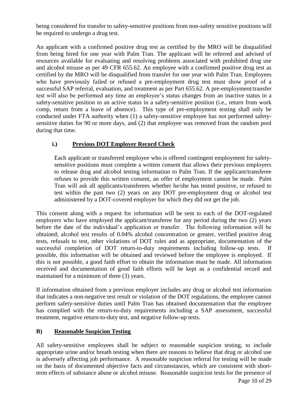being considered for transfer to safety-sensitive positions from non-safety sensitive positions will be required to undergo a drug test.

An applicant with a confirmed positive drug test as certified by the MRO will be disqualified from being hired for one year with Palm Tran. The applicant will be referred and advised of resources available for evaluating and resolving problems associated with prohibited drug use and alcohol misuse as per 49 CFR 655.62. An employee with a confirmed positive drug test as certified by the MRO will be disqualified from transfer for one year with Palm Tran. Employees who have previously failed or refused a pre-employment drug test must show proof of a successful SAP referral, evaluation, and treatment as per Part 655.62. A pre-employment/transfer test will also be performed any time an employee's status changes from an inactive status in a safety-sensitive position to an active status in a safety-sensitive position (i.e., return from work comp, return from a leave of absence). This type of pre-employment testing shall only be conducted under FTA authority when (1) a safety-sensitive employee has not performed safetysensitive duties for 90 or more days, and (2) that employee was removed from the random pool during that time.

#### **i.) Previous DOT Employer Record Check**

Each applicant or transferred employee who is offered contingent employment for safetysensitive positions must complete a written consent that allows their previous employers to release drug and alcohol testing information to Palm Tran. If the applicant/transferee refuses to provide this written consent, an offer of employment cannot be made. Palm Tran will ask all applicants/transferees whether he/she has tested positive, or refused to test within the past two (2) years on any DOT pre-employment drug or alcohol test administered by a DOT-covered employer for which they did not get the job.

This consent along with a request for information will be sent to each of the DOT-regulated employers who have employed the applicant/transferee for any period during the two (2) years before the date of the individual's application or transfer. The following information will be obtained; alcohol test results of 0.04% alcohol concentration or greater, verified positive drug tests, refusals to test, other violations of DOT rules and as appropriate, documentation of the successful completion of DOT return-to-duty requirements including follow-up tests. If possible, this information will be obtained and reviewed before the employee is employed. If this is not possible, a good faith effort to obtain the information must be made. All information received and documentation of good faith efforts will be kept as a confidential record and maintained for a minimum of three (3) years.

If information obtained from a previous employer includes any drug or alcohol test information that indicates a non-negative test result or violation of the DOT regulations, the employee cannot perform safety-sensitive duties until Palm Tran has obtained documentation that the employee has complied with the return-to-duty requirements including a SAP assessment, successful treatment, negative return-to-duty test, and negative follow-up tests.

#### **B) Reasonable Suspicion Testing**

All safety-sensitive employees shall be subject to reasonable suspicion testing, to include appropriate urine and/or breath testing when there are reasons to believe that drug or alcohol use is adversely affecting job performance. A reasonable suspicion referral for testing will be made on the basis of documented objective facts and circumstances, which are consistent with shortterm effects of substance abuse or alcohol misuse. Reasonable suspicion tests for the presence of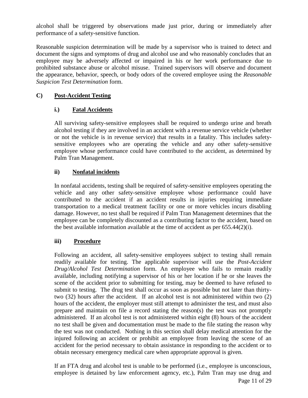alcohol shall be triggered by observations made just prior, during or immediately after performance of a safety-sensitive function.

Reasonable suspicion determination will be made by a supervisor who is trained to detect and document the signs and symptoms of drug and alcohol use and who reasonably concludes that an employee may be adversely affected or impaired in his or her work performance due to prohibited substance abuse or alcohol misuse. Trained supervisors will observe and document the appearance, behavior, speech, or body odors of the covered employee using the *Reasonable Suspicion Test Determination* form.

#### **C) Post-Accident Testing**

#### **i.) Fatal Accidents**

All surviving safety-sensitive employees shall be required to undergo urine and breath alcohol testing if they are involved in an accident with a revenue service vehicle (whether or not the vehicle is in revenue service) that results in a fatality. This includes safetysensitive employees who are operating the vehicle and any other safety-sensitive employee whose performance could have contributed to the accident, as determined by Palm Tran Management.

#### **ii) Nonfatal incidents**

In nonfatal accidents, testing shall be required of safety-sensitive employees operating the vehicle and any other safety-sensitive employee whose performance could have contributed to the accident if an accident results in injuries requiring immediate transportation to a medical treatment facility or one or more vehicles incurs disabling damage. However, no test shall be required if Palm Tran Management determines that the employee can be completely discounted as a contributing factor to the accident, based on the best available information available at the time of accident as per 655.44(2)(i).

#### **iii) Procedure**

Following an accident, all safety-sensitive employees subject to testing shall remain readily available for testing. The applicable supervisor will use the *Post-Accident Drug/Alcohol Test Determination* form. An employee who fails to remain readily available, including notifying a supervisor of his or her location if he or she leaves the scene of the accident prior to submitting for testing, may be deemed to have refused to submit to testing. The drug test shall occur as soon as possible but not later than thirtytwo (32) hours after the accident. If an alcohol test is not administered within two (2) hours of the accident, the employer must still attempt to administer the test, and must also prepare and maintain on file a record stating the reason(s) the test was not promptly administered. If an alcohol test is not administered within eight (8) hours of the accident no test shall be given and documentation must be made to the file stating the reason why the test was not conducted. Nothing in this section shall delay medical attention for the injured following an accident or prohibit an employee from leaving the scene of an accident for the period necessary to obtain assistance in responding to the accident or to obtain necessary emergency medical care when appropriate approval is given.

Page 11 of 29 If an FTA drug and alcohol test is unable to be performed (i.e., employee is unconscious, employee is detained by law enforcement agency, etc.), Palm Tran may use drug and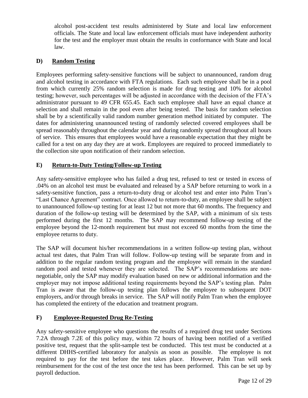alcohol post-accident test results administered by State and local law enforcement officials. The State and local law enforcement officials must have independent authority for the test and the employer must obtain the results in conformance with State and local law.

#### **D) Random Testing**

Employees performing safety-sensitive functions will be subject to unannounced, random drug and alcohol testing in accordance with FTA regulations. Each such employee shall be in a pool from which currently 25% random selection is made for drug testing and 10% for alcohol testing; however, such percentages will be adjusted in accordance with the decision of the FTA's administrator pursuant to 49 CFR 655.45. Each such employee shall have an equal chance at selection and shall remain in the pool even after being tested. The basis for random selection shall be by a scientifically valid random number generation method initiated by computer. The dates for administering unannounced testing of randomly selected covered employees shall be spread reasonably throughout the calendar year and during randomly spread throughout all hours of service. This ensures that employees would have a reasonable expectation that they might be called for a test on any day they are at work. Employees are required to proceed immediately to the collection site upon notification of their random selection.

#### **E) Return-to-Duty Testing/Follow-up Testing**

Any safety-sensitive employee who has failed a drug test, refused to test or tested in excess of .04% on an alcohol test must be evaluated and released by a SAP before returning to work in a safety-sensitive function, pass a return-to-duty drug or alcohol test and enter into Palm Tran's "Last Chance Agreement" contract. Once allowed to return-to-duty, an employee shall be subject to unannounced follow-up testing for at least 12 but not more that 60 months. The frequency and duration of the follow-up testing will be determined by the SAP, with a minimum of six tests performed during the first 12 months. The SAP may recommend follow-up testing of the employee beyond the 12-month requirement but must not exceed 60 months from the time the employee returns to duty.

The SAP will document his/her recommendations in a written follow-up testing plan, without actual test dates, that Palm Tran will follow. Follow-up testing will be separate from and in addition to the regular random testing program and the employee will remain in the standard random pool and tested whenever they are selected. The SAP's recommendations are nonnegotiable, only the SAP may modify evaluation based on new or additional information and the employer may not impose additional testing requirements beyond the SAP's testing plan. Palm Tran is aware that the follow-up testing plan follows the employee to subsequent DOT employers, and/or through breaks in service. The SAP will notify Palm Tran when the employee has completed the entirety of the education and treatment program.

#### **F) Employee-Requested Drug Re-Testing**

Any safety-sensitive employee who questions the results of a required drug test under Sections 7.2A through 7.2E of this policy may, within 72 hours of having been notified of a verified positive test, request that the split-sample test be conducted. This test must be conducted at a different DHHS-certified laboratory for analysis as soon as possible. The employee is not required to pay for the test before the test takes place. However, Palm Tran will seek reimbursement for the cost of the test once the test has been performed. This can be set up by payroll deduction.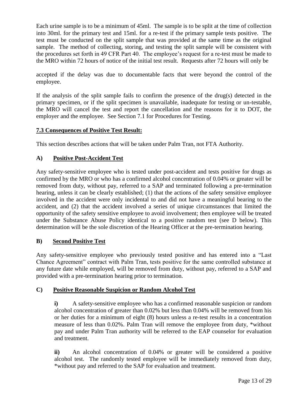Each urine sample is to be a minimum of 45ml. The sample is to be split at the time of collection into 30ml. for the primary test and 15ml. for a re-test if the primary sample tests positive. The test must be conducted on the split sample that was provided at the same time as the original sample. The method of collecting, storing, and testing the split sample will be consistent with the procedures set forth in 49 CFR Part 40. The employee's request for a re-test must be made to the MRO within 72 hours of notice of the initial test result. Requests after 72 hours will only be

accepted if the delay was due to documentable facts that were beyond the control of the employee.

If the analysis of the split sample fails to confirm the presence of the drug(s) detected in the primary specimen, or if the split specimen is unavailable, inadequate for testing or un-testable, the MRO will cancel the test and report the cancellation and the reasons for it to DOT, the employer and the employee. See Section 7.1 for Procedures for Testing.

#### **7.3 Consequences of Positive Test Result:**

This section describes actions that will be taken under Palm Tran, not FTA Authority.

#### **A) Positive Post-Accident Test**

Any safety-sensitive employee who is tested under post-accident and tests positive for drugs as confirmed by the MRO or who has a confirmed alcohol concentration of 0.04% or greater will be removed from duty, without pay, referred to a SAP and terminated following a pre-termination hearing, unless it can be clearly established; (1) that the actions of the safety sensitive employee involved in the accident were only incidental to and did not have a meaningful bearing to the accident, and (2) that the accident involved a series of unique circumstances that limited the opportunity of the safety sensitive employee to avoid involvement; then employee will be treated under the Substance Abuse Policy identical to a positive random test (see D below). This determination will be the sole discretion of the Hearing Officer at the pre-termination hearing.

#### **B) Second Positive Test**

Any safety-sensitive employee who previously tested positive and has entered into a "Last Chance Agreement" contract with Palm Tran, tests positive for the same controlled substance at any future date while employed, will be removed from duty, without pay, referred to a SAP and provided with a pre-termination hearing prior to termination.

#### **C) Positive Reasonable Suspicion or Random Alcohol Test**

**i)** A safety-sensitive employee who has a confirmed reasonable suspicion or random alcohol concentration of greater than 0.02% but less than 0.04% will be removed from his or her duties for a minimum of eight (8) hours unless a re-test results in a concentration measure of less than 0.02%. Palm Tran will remove the employee from duty, \*without pay and under Palm Tran authority will be referred to the EAP counselor for evaluation and treatment.

**ii)** An alcohol concentration of 0.04% or greater will be considered a positive alcohol test. The randomly tested employee will be immediately removed from duty, \*without pay and referred to the SAP for evaluation and treatment.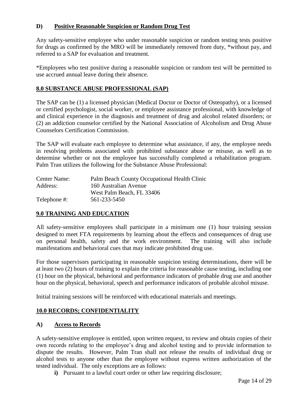#### **D) Positive Reasonable Suspicion or Random Drug Test**

Any safety-sensitive employee who under reasonable suspicion or random testing tests positive for drugs as confirmed by the MRO will be immediately removed from duty, \*without pay, and referred to a SAP for evaluation and treatment.

\*Employees who test positive during a reasonable suspicion or random test will be permitted to use accrued annual leave during their absence.

#### **8.0 SUBSTANCE ABUSE PROFESSIONAL (SAP)**

The SAP can be (1) a licensed physician (Medical Doctor or Doctor of Osteopathy), or a licensed or certified psychologist, social worker, or employee assistance professional, with knowledge of and clinical experience in the diagnosis and treatment of drug and alcohol related disorders; or (2) an addiction counselor certified by the National Association of Alcoholism and Drug Abuse Counselors Certification Commission.

The SAP will evaluate each employee to determine what assistance, if any, the employee needs in resolving problems associated with prohibited substance abuse or misuse, as well as to determine whether or not the employee has successfully completed a rehabilitation program. Palm Tran utilizes the following for the Substance Abuse Professional:

| Center Name: | Palm Beach County Occupational Health Clinic |  |
|--------------|----------------------------------------------|--|
| Address:     | 160 Australian Avenue                        |  |
|              | West Palm Beach, FL 33406                    |  |
| Telephone #: | 561-233-5450                                 |  |

#### **9.0 TRAINING AND EDUCATION**

All safety-sensitive employees shall participate in a minimum one (1) hour training session designed to meet FTA requirements by learning about the effects and consequences of drug use on personal health, safety and the work environment. The training will also include manifestations and behavioral cues that may indicate prohibited drug use.

For those supervisors participating in reasonable suspicion testing determinations, there will be at least two (2) hours of training to explain the criteria for reasonable cause testing, including one (1) hour on the physical, behavioral and performance indicators of probable drug use and another hour on the physical, behavioral, speech and performance indicators of probable alcohol misuse.

Initial training sessions will be reinforced with educational materials and meetings.

#### **10.0 RECORDS; CONFIDENTIALITY**

#### **A) Access to Records**

A safety-sensitive employee is entitled, upon written request, to review and obtain copies of their own records relating to the employee's drug and alcohol testing and to provide information to dispute the results. However, Palm Tran shall not release the results of individual drug or alcohol tests to anyone other than the employee without express written authorization of the tested individual. The only exceptions are as follows:

**i)** Pursuant to a lawful court order or other law requiring disclosure;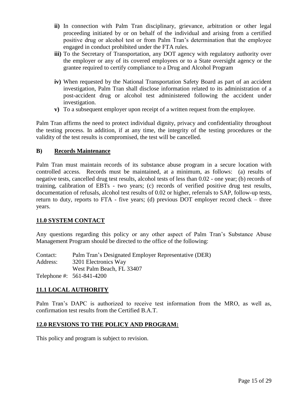- **ii)** In connection with Palm Tran disciplinary, grievance, arbitration or other legal proceeding initiated by or on behalf of the individual and arising from a certified positive drug or alcohol test or from Palm Tran's determination that the employee engaged in conduct prohibited under the FTA rules.
- **iii**) To the Secretary of Transportation, any DOT agency with regulatory authority over the employer or any of its covered employees or to a State oversight agency or the grantee required to certify compliance to a Drug and Alcohol Program
- **iv)** When requested by the National Transportation Safety Board as part of an accident investigation, Palm Tran shall disclose information related to its administration of a post-accident drug or alcohol test administered following the accident under investigation.
- **v)** To a subsequent employer upon receipt of a written request from the employee.

Palm Tran affirms the need to protect individual dignity, privacy and confidentiality throughout the testing process. In addition, if at any time, the integrity of the testing procedures or the validity of the test results is compromised, the test will be cancelled.

#### **B) Records Maintenance**

Palm Tran must maintain records of its substance abuse program in a secure location with controlled access. Records must be maintained, at a minimum, as follows: (a) results of negative tests, cancelled drug test results, alcohol tests of less than 0.02 - one year; (b) records of training, calibration of EBTs - two years; (c) records of verified positive drug test results, documentation of refusals, alcohol test results of 0.02 or higher, referrals to SAP, follow-up tests, return to duty, reports to FTA - five years; (d) previous DOT employer record check – three years.

#### **11.0 SYSTEM CONTACT**

Any questions regarding this policy or any other aspect of Palm Tran's Substance Abuse Management Program should be directed to the office of the following:

Contact: Palm Tran's Designated Employer Representative (DER) Address: 3201 Electronics Way West Palm Beach, FL 33407 Telephone #: 561-841-4200

#### **11.1 LOCAL AUTHORITY**

Palm Tran's DAPC is authorized to receive test information from the MRO, as well as, confirmation test results from the Certified B.A.T.

#### **12.0 REVSIONS TO THE POLICY AND PROGRAM:**

This policy and program is subject to revision.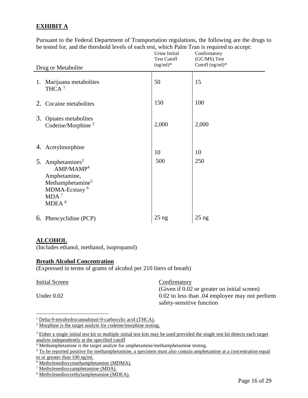#### **EXHIBIT A**

Pursuant to the Federal Department of Transportation regulations, the following are the drugs to be tested for, and the threshold levels of each test, which Palm Tran is required to accept:

| Drug or Metabolite |                                                                                                                                                                    | Urine Initial<br><b>Test Cutoff</b><br>$(ng/ml)^*$ | Confirmatory<br>(GC/MS) Test<br>Cutoff $(ng/ml)^*$ |
|--------------------|--------------------------------------------------------------------------------------------------------------------------------------------------------------------|----------------------------------------------------|----------------------------------------------------|
|                    | 1. Marijuana metabolites<br>$THCA$ <sup>1</sup>                                                                                                                    | 50                                                 | 15                                                 |
| 2.                 | Cocaine metabolites                                                                                                                                                | 150                                                | 100                                                |
| 3.                 | Opiates metabolites<br>Codeine/Morphine <sup>2</sup>                                                                                                               | 2,000                                              | 2,000                                              |
|                    | 4. Acetylmorphine                                                                                                                                                  | 10                                                 | 10                                                 |
|                    | 5. Amphetamines <sup>3</sup><br>AMP/MAMP <sup>4</sup><br>Amphetamine,<br>Methamphetamine <sup>5</sup><br>MDMA-Ecstasy <sup>6</sup><br>MDA <sup>7</sup><br>MDEA $8$ | 500                                                | 250                                                |
|                    | 6. Phencyclidine (PCP)                                                                                                                                             | $25$ ng                                            | $25$ ng                                            |

#### **ALCOHOL**

(Includes ethanol, methanol, isopropanol)

#### **Breath Alcohol Concentration**

(Expressed in terms of grams of alcohol per 210 liters of breath)

#### Initial Screen Confirmatory

 $\overline{a}$ 

(Given if 0.02 or greater on initial screen) Under 0.02 to less than .04 employee may not perform safety-sensitive function

<sup>2</sup> Morphine is the target analyte for codeine/morphine testing.

<sup>&</sup>lt;sup>1</sup> Delta-9-tetrahydrocannabinol-9-carboxylic acid (THCA).

<sup>&</sup>lt;sup>3</sup> Either a single initial test kit or multiple initial test kits may be used provided the single test kit detects each target analyte independently at the specified cutoff

<sup>&</sup>lt;sup>4</sup> Methamphetamine is the target analyte for amphetamine/methamphetamine testing.

<sup>&</sup>lt;sup>5</sup> To be reported positive for methamphetamine, a specimen must also contain amphetamine at a concentration equal to or greater than 100 ng/ml.

 $6$  Methylenedioxymethamphetamine (MDMA).

<sup>7</sup> Methylenedioxyamphetamine (MDA).

<sup>8</sup> Methylenedioxyethylamphetamine (MDEA).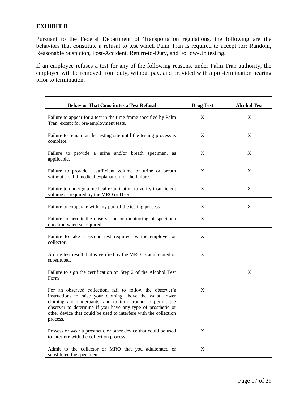#### **EXHIBIT B**

Pursuant to the Federal Department of Transportation regulations, the following are the behaviors that constitute a refusal to test which Palm Tran is required to accept for; Random, Reasonable Suspicion, Post-Accident, Return-to-Duty, and Follow-Up testing.

If an employee refuses a test for any of the following reasons, under Palm Tran authority, the employee will be removed from duty, without pay, and provided with a pre-termination hearing prior to termination.

| <b>Behavior That Constitutes a Test Refusal</b>                                                                                                                                                                                                                                                                                     | <b>Drug Test</b> | <b>Alcohol Test</b> |
|-------------------------------------------------------------------------------------------------------------------------------------------------------------------------------------------------------------------------------------------------------------------------------------------------------------------------------------|------------------|---------------------|
| Failure to appear for a test in the time frame specified by Palm<br>Tran, except for pre-employment tests.                                                                                                                                                                                                                          | X                | X                   |
| Failure to remain at the testing site until the testing process is<br>complete.                                                                                                                                                                                                                                                     | X                | X                   |
| Failure to provide a urine and/or breath specimen, as<br>applicable.                                                                                                                                                                                                                                                                | X                | X                   |
| Failure to provide a sufficient volume of urine or breath<br>without a valid medical explanation for the failure.                                                                                                                                                                                                                   | X                | X                   |
| Failure to undergo a medical examination to verify insufficient<br>volume as required by the MRO or DER.                                                                                                                                                                                                                            | X                | X                   |
| Failure to cooperate with any part of the testing process.                                                                                                                                                                                                                                                                          | X                | X                   |
| Failure to permit the observation or monitoring of specimen<br>donation when so required.                                                                                                                                                                                                                                           | X                |                     |
| Failure to take a second test required by the employer or<br>collector.                                                                                                                                                                                                                                                             | X                |                     |
| A drug test result that is verified by the MRO as adulterated or<br>substituted.                                                                                                                                                                                                                                                    | X                |                     |
| Failure to sign the certification on Step 2 of the Alcohol Test<br>Form                                                                                                                                                                                                                                                             |                  | X                   |
| For an observed collection, fail to follow the observer's<br>instructions to raise your clothing above the waist, lower<br>clothing and underpants, and to turn around to permit the<br>observer to determine if you have any type of prosthetic or<br>other device that could be used to interfere with the collection<br>process. | X                |                     |
| Possess or wear a prosthetic or other device that could be used<br>to interfere with the collection process.                                                                                                                                                                                                                        | X                |                     |
| Admit to the collector or MRO that you adulterated or<br>substituted the specimen.                                                                                                                                                                                                                                                  | X                |                     |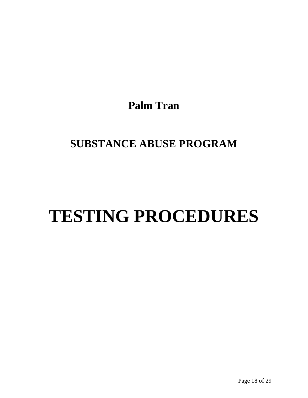**Palm Tran**

### **SUBSTANCE ABUSE PROGRAM**

## **TESTING PROCEDURES**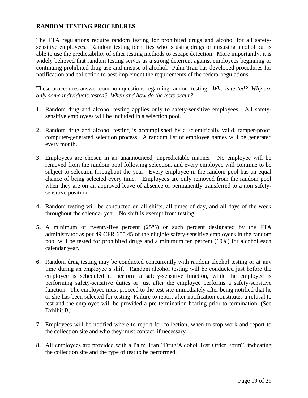#### **RANDOM TESTING PROCEDURES**

The FTA regulations require random testing for prohibited drugs and alcohol for all safetysensitive employees. Random testing identifies who is using drugs or misusing alcohol but is able to use the predictability of other testing methods to escape detection. More importantly, it is widely believed that random testing serves as a strong deterrent against employees beginning or continuing prohibited drug use and misuse of alcohol. Palm Tran has developed procedures for notification and collection to best implement the requirements of the federal regulations.

These procedures answer common questions regarding random testing: *Who is tested? Why are only some individuals tested? When and how do the tests occur?*

- **1.** Random drug and alcohol testing applies only to safety-sensitive employees. All safetysensitive employees will be included in a selection pool.
- **2.** Random drug and alcohol testing is accomplished by a scientifically valid, tamper-proof, computer-generated selection process. A random list of employee names will be generated every month.
- **3.** Employees are chosen in an unannounced, unpredictable manner. No employee will be removed from the random pool following selection, and every employee will continue to be subject to selection throughout the year. Every employee in the random pool has an equal chance of being selected every time. Employees are only removed from the random pool when they are on an approved leave of absence or permanently transferred to a non safetysensitive position.
- **4.** Random testing will be conducted on all shifts, all times of day, and all days of the week throughout the calendar year. No shift is exempt from testing.
- **5.** A minimum of twenty-five percent (25%) or such percent designated by the FTA administrator as per 49 CFR 655.45 of the eligible safety-sensitive employees in the random pool will be tested for prohibited drugs and a minimum ten percent (10%) for alcohol each calendar year.
- **6.** Random drug testing may be conducted concurrently with random alcohol testing or at any time during an employee's shift. Random alcohol testing will be conducted just before the employee is scheduled to perform a safety-sensitive function, while the employee is performing safety-sensitive duties or just after the employee performs a safety-sensitive function. The employee must proceed to the test site immediately after being notified that he or she has been selected for testing. Failure to report after notification constitutes a refusal to test and the employee will be provided a pre-termination hearing prior to termination. (See Exhibit B)
- **7.** Employees will be notified where to report for collection, when to stop work and report to the collection site and who they must contact, if necessary.
- **8.** All employees are provided with a Palm Tran "Drug/Alcohol Test Order Form", indicating the collection site and the type of test to be performed.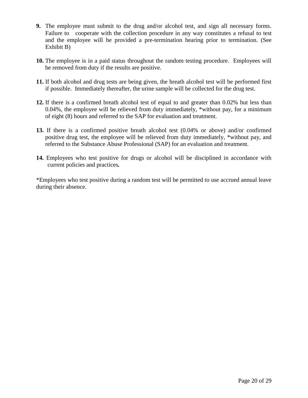- **9.** The employee must submit to the drug and/or alcohol test, and sign all necessary forms. Failure to cooperate with the collection procedure in any way constitutes a refusal to test and the employee will be provided a pre-termination hearing prior to termination. (See Exhibit B)
- **10.** The employee is in a paid status throughout the random testing procedure. Employees will be removed from duty if the results are positive.
- **11.** If both alcohol and drug tests are being given, the breath alcohol test will be performed first if possible. Immediately thereafter, the urine sample will be collected for the drug test.
- **12.** If there is a confirmed breath alcohol test of equal to and greater than 0.02% but less than 0.04%, the employee will be relieved from duty immediately, \*without pay, for a minimum of eight (8) hours and referred to the SAP for evaluation and treatment.
- **13.** If there is a confirmed positive breath alcohol test (0.04% or above) and/or confirmed positive drug test, the employee will be relieved from duty immediately, \*without pay, and referred to the Substance Abuse Professional (SAP) for an evaluation and treatment.
- **14.** Employees who test positive for drugs or alcohol will be disciplined in accordance with current policies and practices*.*

\*Employees who test positive during a random test will be permitted to use accrued annual leave during their absence.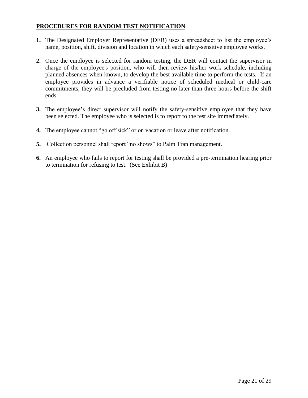#### **PROCEDURES FOR RANDOM TEST NOTIFICATION**

- **1.** The Designated Employer Representative (DER) uses a spreadsheet to list the employee's name, position, shift, division and location in which each safety-sensitive employee works.
- **2.** Once the employee is selected for random testing, the DER will contact the supervisor in charge of the employee's position, who will then review his/her work schedule, including planned absences when known, to develop the best available time to perform the tests. If an employee provides in advance a verifiable notice of scheduled medical or child-care commitments, they will be precluded from testing no later than three hours before the shift ends.
- **3.** The employee's direct supervisor will notify the safety-sensitive employee that they have been selected. The employee who is selected is to report to the test site immediately.
- **4.** The employee cannot "go off sick" or on vacation or leave after notification.
- **5.** Collection personnel shall report "no shows" to Palm Tran management.
- **6.** An employee who fails to report for testing shall be provided a pre-termination hearing prior to termination for refusing to test. (See Exhibit B)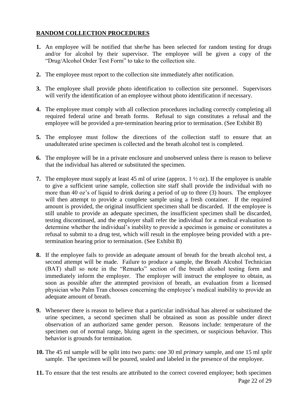#### **RANDOM COLLECTION PROCEDURES**

- **1.** An employee will be notified that she/he has been selected for random testing for drugs and/or for alcohol by their supervisor. The employee will be given a copy of the "Drug/Alcohol Order Test Form" to take to the collection site.
- **2.** The employee must report to the collection site immediately after notification.
- **3.** The employee shall provide photo identification to collection site personnel. Supervisors will verify the identification of an employee without photo identification if necessary.
- **4.** The employee must comply with all collection procedures including correctly completing all required federal urine and breath forms. Refusal to sign constitutes a refusal and the employee will be provided a pre-termination hearing prior to termination. (See Exhibit B)
- **5.** The employee must follow the directions of the collection staff to ensure that an unadulterated urine specimen is collected and the breath alcohol test is completed.
- **6.** The employee will be in a private enclosure and unobserved unless there is reason to believe that the individual has altered or substituted the specimen.
- **7.** The employee must supply at least 45 ml of urine (approx. 1 ½ oz). If the employee is unable to give a sufficient urine sample, collection site staff shall provide the individual with no more than 40 oz's of liquid to drink during a period of up to three (3) hours. The employee will then attempt to provide a complete sample using a fresh container. If the required amount is provided, the original insufficient specimen shall be discarded. If the employee is still unable to provide an adequate specimen, the insufficient specimen shall be discarded, testing discontinued, and the employer shall refer the individual for a medical evaluation to determine whether the individual's inability to provide a specimen is genuine or constitutes a refusal to submit to a drug test, which will result in the employee being provided with a pretermination hearing prior to termination. (See Exhibit B)
- **8.** If the employee fails to provide an adequate amount of breath for the breath alcohol test, a second attempt will be made. Failure to produce a sample, the Breath Alcohol Technician (BAT) shall so note in the "Remarks" section of the breath alcohol testing form and immediately inform the employer. The employer will instruct the employee to obtain, as soon as possible after the attempted provision of breath, an evaluation from a licensed physician who Palm Tran chooses concerning the employee's medical inability to provide an adequate amount of breath.
- **9.** Whenever there is reason to believe that a particular individual has altered or substituted the urine specimen, a second specimen shall be obtained as soon as possible under direct observation of an authorized same gender person. Reasons include: temperature of the specimen out of normal range, bluing agent in the specimen, or suspicious behavior. This behavior is grounds for termination.
- **10.** The 45 ml sample will be split into two parts: one 30 ml *primary* sample, and one 15 ml *split*  sample. The specimen will be poured, sealed and labeled in the presence of the employee.
- Page 22 of 29 **11.** To ensure that the test results are attributed to the correct covered employee; both specimen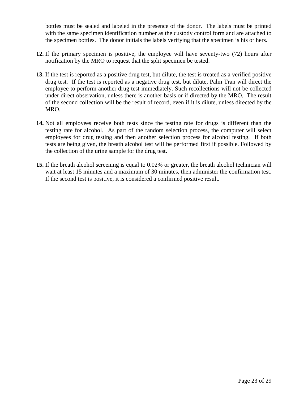bottles must be sealed and labeled in the presence of the donor. The labels must be printed with the same specimen identification number as the custody control form and are attached to the specimen bottles. The donor initials the labels verifying that the specimen is his or hers.

- **12.** If the primary specimen is positive, the employee will have seventy-two (72) hours after notification by the MRO to request that the split specimen be tested.
- **13.** If the test is reported as a positive drug test, but dilute, the test is treated as a verified positive drug test. If the test is reported as a negative drug test, but dilute, Palm Tran will direct the employee to perform another drug test immediately. Such recollections will not be collected under direct observation, unless there is another basis or if directed by the MRO. The result of the second collection will be the result of record, even if it is dilute, unless directed by the MRO.
- **14.** Not all employees receive both tests since the testing rate for drugs is different than the testing rate for alcohol. As part of the random selection process, the computer will select employees for drug testing and then another selection process for alcohol testing. If both tests are being given, the breath alcohol test will be performed first if possible. Followed by the collection of the urine sample for the drug test.
- **15.** If the breath alcohol screening is equal to 0.02% or greater, the breath alcohol technician will wait at least 15 minutes and a maximum of 30 minutes, then administer the confirmation test. If the second test is positive, it is considered a confirmed positive result.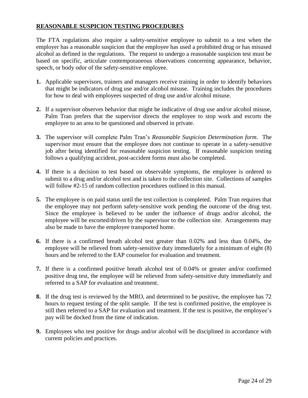#### **REASONABLE SUSPICION TESTING PROCEDURES**

The FTA regulations also require a safety-sensitive employee to submit to a test when the employer has a reasonable suspicion that the employee has used a prohibited drug or has misused alcohol as defined in the regulations. The request to undergo a reasonable suspicion test must be based on specific, articulate contemporaneous observations concerning appearance, behavior, speech, or body odor of the safety-sensitive employee.

- **1.** Applicable supervisors, trainers and managers receive training in order to identify behaviors that might be indicators of drug use and/or alcohol misuse. Training includes the procedures for how to deal with employees suspected of drug use and/or alcohol misuse.
- **2.** If a supervisor observes behavior that might be indicative of drug use and/or alcohol misuse, Palm Tran prefers that the supervisor directs the employee to stop work and escorts the employee to an area to be questioned and observed in private.
- **3.** The supervisor will complete Palm Tran's *Reasonable Suspicion Determination form*.The supervisor must ensure that the employee does not continue to operate in a safety-sensitive job after being identified for reasonable suspicion testing. If reasonable suspicion testing follows a qualifying accident, post-accident forms must also be completed.
- **4.** If there is a decision to test based on observable symptoms, the employee is ordered to submit to a drug and/or alcohol test and is taken to the collection site. Collections of samples will follow #2-15 of random collection procedures outlined in this manual.
- **5.** The employee is on paid status until the test collection is completed. Palm Tran requires that the employee may not perform safety-sensitive work pending the outcome of the drug test. Since the employee is believed to be under the influence of drugs and/or alcohol, the employee will be escorted/driven by the supervisor to the collection site. Arrangements may also be made to have the employee transported home.
- **6.** If there is a confirmed breath alcohol test greater than 0.02% and less than 0.04%, the employee will be relieved from safety-sensitive duty immediately for a minimum of eight (8) hours and be referred to the EAP counselor for evaluation and treatment.
- **7.** If there is a confirmed positive breath alcohol test of 0.04% or greater and/or confirmed positive drug test, the employee will be relieved from safety-sensitive duty immediately and referred to a SAP for evaluation and treatment.
- **8.** If the drug test is reviewed by the MRO, and determined to be positive, the employee has 72 hours to request testing of the split sample. If the test is confirmed positive, the employee is still then referred to a SAP for evaluation and treatment. If the test is positive, the employee's pay will be docked from the time of indication.
- **9.** Employees who test positive for drugs and/or alcohol will be disciplined in accordance with current policies and practices.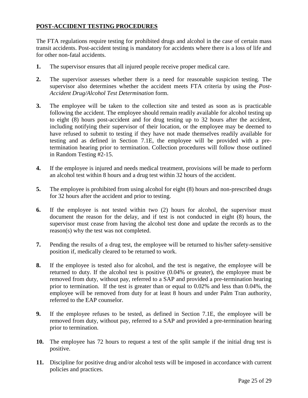#### **POST-ACCIDENT TESTING PROCEDURES**

The FTA regulations require testing for prohibited drugs and alcohol in the case of certain mass transit accidents. Post-accident testing is mandatory for accidents where there is a loss of life and for other non-fatal accidents.

- **1.** The supervisor ensures that all injured people receive proper medical care.
- **2.** The supervisor assesses whether there is a need for reasonable suspicion testing. The supervisor also determines whether the accident meets FTA criteria by using the *Post-Accident Drug/Alcohol Test Determination* form.
- **3.** The employee will be taken to the collection site and tested as soon as is practicable following the accident. The employee should remain readily available for alcohol testing up to eight (8) hours post-accident and for drug testing up to 32 hours after the accident, including notifying their supervisor of their location, or the employee may be deemed to have refused to submit to testing if they have not made themselves readily available for testing and as defined in Section 7.1E, the employee will be provided with a pretermination hearing prior to termination. Collection procedures will follow those outlined in Random Testing #2-15.
- **4.** If the employee is injured and needs medical treatment, provisions will be made to perform an alcohol test within 8 hours and a drug test within 32 hours of the accident.
- **5.** The employee is prohibited from using alcohol for eight (8) hours and non-prescribed drugs for 32 hours after the accident and prior to testing.
- **6.** If the employee is not tested within two (2) hours for alcohol, the supervisor must document the reason for the delay, and if test is not conducted in eight (8) hours, the supervisor must cease from having the alcohol test done and update the records as to the reason(s) why the test was not completed.
- **7.** Pending the results of a drug test, the employee will be returned to his/her safety-sensitive position if, medically cleared to be returned to work.
- **8.** If the employee is tested also for alcohol, and the test is negative, the employee will be returned to duty. If the alcohol test is positive (0.04% or greater), the employee must be removed from duty, without pay, referred to a SAP and provided a pre-termination hearing prior to termination. If the test is greater than or equal to 0.02% and less than 0.04%, the employee will be removed from duty for at least 8 hours and under Palm Tran authority, referred to the EAP counselor.
- **9.** If the employee refuses to be tested, as defined in Section 7.1E, the employee will be removed from duty, without pay, referred to a SAP and provided a pre-termination hearing prior to termination.
- **10.** The employee has 72 hours to request a test of the split sample if the initial drug test is positive.
- **11.** Discipline for positive drug and/or alcohol tests will be imposed in accordance with current policies and practices.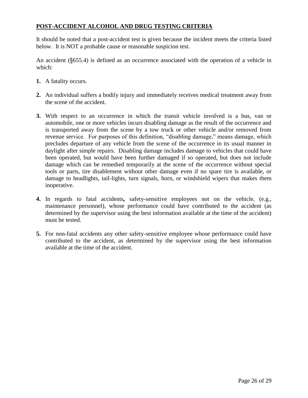#### **POST-ACCIDENT ALCOHOL AND DRUG TESTING CRITERIA**

It should be noted that a post-accident test is given because the incident meets the criteria listed below. It is NOT a probable cause or reasonable suspicion test.

An accident (§655.4) is defined as an occurrence associated with the operation of a vehicle in which:

- **1.** A fatality occurs.
- **2.** An individual suffers a bodily injury and immediately receives medical treatment away from the scene of the accident.
- **3.** With respect to an occurrence in which the transit vehicle involved is a bus, van or automobile, one or more vehicles incurs disabling damage as the result of the occurrence and is transported away from the scene by a tow truck or other vehicle and/or removed from revenue service. For purposes of this definition, "disabling damage," means damage, which precludes departure of any vehicle from the scene of the occurrence in its usual manner in daylight after simple repairs. Disabling damage includes damage to vehicles that could have been operated, but would have been further damaged if so operated, but does not include damage which can be remedied temporarily at the scene of the occurrence without special tools or parts, tire disablement without other damage even if no spare tire is available, or damage to headlights, tail-lights, turn signals, horn, or windshield wipers that makes them inoperative.
- **4.** In regards to fatal accidents*,* safety-sensitive employees not on the vehicle, (e.g., maintenance personnel), whose performance could have contributed to the accident (as determined by the supervisor using the best information available at the time of the accident) must be tested.
- **5.** For non-fatal accidents any other safety-sensitive employee whose performance could have contributed to the accident, as determined by the supervisor using the best information available at the time of the accident.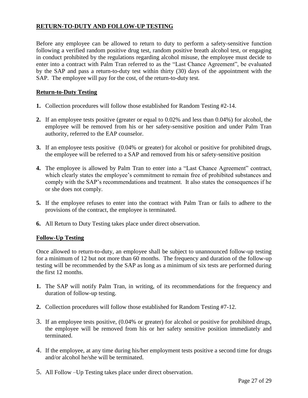#### **RETURN-TO-DUTY AND FOLLOW-UP TESTING**

Before any employee can be allowed to return to duty to perform a safety-sensitive function following a verified random positive drug test, random positive breath alcohol test, or engaging in conduct prohibited by the regulations regarding alcohol misuse, the employee must decide to enter into a contract with Palm Tran referred to as the "Last Chance Agreement", be evaluated by the SAP and pass a return-to-duty test within thirty (30) days of the appointment with the SAP. The employee will pay for the cost, of the return-to-duty test.

#### **Return-to-Duty Testing**

- **1.** Collection procedures will follow those established for Random Testing #2-14.
- **2.** If an employee tests positive (greater or equal to 0.02% and less than 0.04%) for alcohol, the employee will be removed from his or her safety-sensitive position and under Palm Tran authority, referred to the EAP counselor.
- **3.** If an employee tests positive (0.04% or greater) for alcohol or positive for prohibited drugs, the employee will be referred to a SAP and removed from his or safety-sensitive position
- **4.** The employee is allowed by Palm Tran to enter into a "Last Chance Agreement" contract, which clearly states the employee's commitment to remain free of prohibited substances and comply with the SAP's recommendations and treatment. It also states the consequences if he or she does not comply.
- **5.** If the employee refuses to enter into the contract with Palm Tran or fails to adhere to the provisions of the contract, the employee is terminated.
- **6.** All Return to Duty Testing takes place under direct observation.

#### **Follow-Up Testing**

Once allowed to return-to-duty, an employee shall be subject to unannounced follow-up testing for a minimum of 12 but not more than 60 months. The frequency and duration of the follow-up testing will be recommended by the SAP as long as a minimum of six tests are performed during the first 12 months.

- **1.** The SAP will notify Palm Tran, in writing, of its recommendations for the frequency and duration of follow-up testing.
- **2.** Collection procedures will follow those established for Random Testing #7-12.
- 3. If an employee tests positive, (0.04% or greater) for alcohol or positive for prohibited drugs, the employee will be removed from his or her safety sensitive position immediately and terminated.
- 4. If the employee, at any time during his/her employment tests positive a second time for drugs and/or alcohol he/she will be terminated.
- 5. All Follow –Up Testing takes place under direct observation.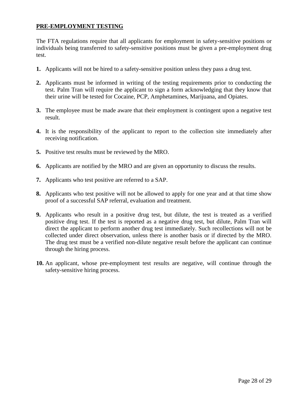#### **PRE-EMPLOYMENT TESTING**

The FTA regulations require that all applicants for employment in safety-sensitive positions or individuals being transferred to safety-sensitive positions must be given a pre-employment drug test.

- **1.** Applicants will not be hired to a safety-sensitive position unless they pass a drug test.
- **2.** Applicants must be informed in writing of the testing requirements prior to conducting the test. Palm Tran will require the applicant to sign a form acknowledging that they know that their urine will be tested for Cocaine, PCP, Amphetamines, Marijuana, and Opiates.
- **3.** The employee must be made aware that their employment is contingent upon a negative test result.
- **4.** It is the responsibility of the applicant to report to the collection site immediately after receiving notification.
- **5.** Positive test results must be reviewed by the MRO.
- **6.** Applicants are notified by the MRO and are given an opportunity to discuss the results.
- **7.** Applicants who test positive are referred to a SAP.
- **8.** Applicants who test positive will not be allowed to apply for one year and at that time show proof of a successful SAP referral, evaluation and treatment.
- **9.** Applicants who result in a positive drug test, but dilute, the test is treated as a verified positive drug test. If the test is reported as a negative drug test, but dilute, Palm Tran will direct the applicant to perform another drug test immediately. Such recollections will not be collected under direct observation, unless there is another basis or if directed by the MRO. The drug test must be a verified non-dilute negative result before the applicant can continue through the hiring process.
- **10.** An applicant, whose pre-employment test results are negative, will continue through the safety-sensitive hiring process.